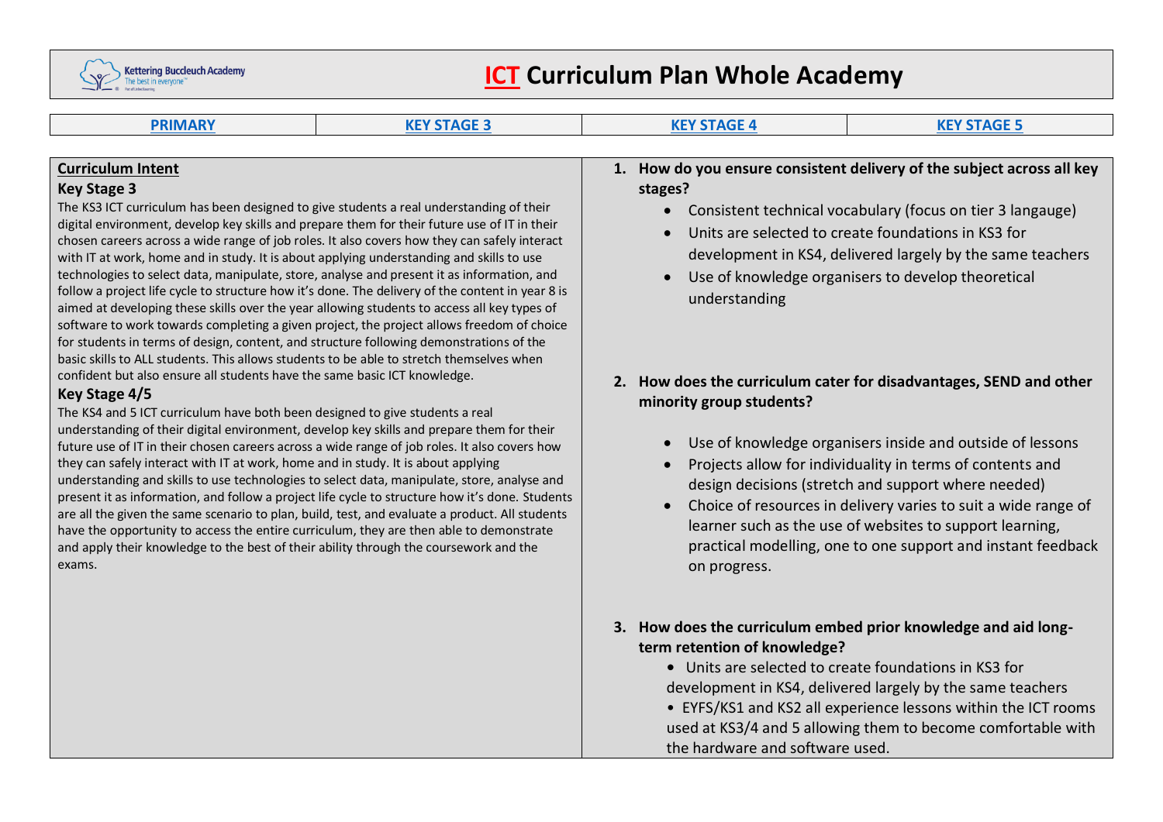

# **ICT Curriculum Plan Whole Academy**

| <b>PRIMARY</b>                                                                                                                                                                                                                                                                                                                                                                                                                                                                                                                                                                                              | <b>KEY STAGE 3</b> | <b>KEY STAGE 4</b>                                                                                                                                                                                                                                                                                       | <b>KEY STAGE 5</b>                                                     |  |
|-------------------------------------------------------------------------------------------------------------------------------------------------------------------------------------------------------------------------------------------------------------------------------------------------------------------------------------------------------------------------------------------------------------------------------------------------------------------------------------------------------------------------------------------------------------------------------------------------------------|--------------------|----------------------------------------------------------------------------------------------------------------------------------------------------------------------------------------------------------------------------------------------------------------------------------------------------------|------------------------------------------------------------------------|--|
|                                                                                                                                                                                                                                                                                                                                                                                                                                                                                                                                                                                                             |                    |                                                                                                                                                                                                                                                                                                          |                                                                        |  |
| <b>Curriculum Intent</b>                                                                                                                                                                                                                                                                                                                                                                                                                                                                                                                                                                                    |                    |                                                                                                                                                                                                                                                                                                          | 1. How do you ensure consistent delivery of the subject across all key |  |
| <b>Key Stage 3</b><br>The KS3 ICT curriculum has been designed to give students a real understanding of their<br>digital environment, develop key skills and prepare them for their future use of IT in their<br>chosen careers across a wide range of job roles. It also covers how they can safely interact<br>with IT at work, home and in study. It is about applying understanding and skills to use<br>technologies to select data, manipulate, store, analyse and present it as information, and<br>follow a project life cycle to structure how it's done. The delivery of the content in year 8 is |                    | stages?<br>Consistent technical vocabulary (focus on tier 3 langauge)<br>$\bullet$<br>Units are selected to create foundations in KS3 for<br>$\bullet$<br>development in KS4, delivered largely by the same teachers<br>Use of knowledge organisers to develop theoretical<br>$\bullet$<br>understanding |                                                                        |  |
| aimed at developing these skills over the year allowing students to access all key types of<br>software to work towards completing a given project, the project allows freedom of choice<br>for students in terms of design, content, and structure following demonstrations of the<br>basic skills to ALL students. This allows students to be able to stretch themselves when<br>confident but also ensure all students have the same basic ICT knowledge.                                                                                                                                                |                    |                                                                                                                                                                                                                                                                                                          | How does the curriculum cater for disadvantages, SEND and other        |  |

#### **Key Stage 4/5**

The KS4 and 5 ICT curriculum have both been designed to give students a real understanding of their digital environment, develop key skills and prepare them for their future use of IT in their chosen careers across a wide range of job roles. It also covers how they can safely interact with IT at work, home and in study. It is about applying understanding and skills to use technologies to select data, manipulate, store, analyse and present it as information, and follow a project life cycle to structure how it's done. Students are all the given the same scenario to plan, build, test, and evaluate a product. All students have the opportunity to access the entire curriculum, they are then able to demonstrate and apply their knowledge to the best of their ability through the coursework and the exams.

- **2. How does the curriculum cater for disadvantages, SEND and other minority group students?**
	- Use of knowledge organisers inside and outside of lessons
	- Projects allow for individuality in terms of contents and design decisions (stretch and support where needed)
	- Choice of resources in delivery varies to suit a wide range of learner such as the use of websites to support learning, practical modelling, one to one support and instant feedback on progress.
- **3. How does the curriculum embed prior knowledge and aid longterm retention of knowledge?**
	- **•** Units are selected to create foundations in KS3 for development in KS4, delivered largely by the same teachers
	- EYFS/KS1 and KS2 all experience lessons within the ICT rooms used at KS3/4 and 5 allowing them to become comfortable with the hardware and software used.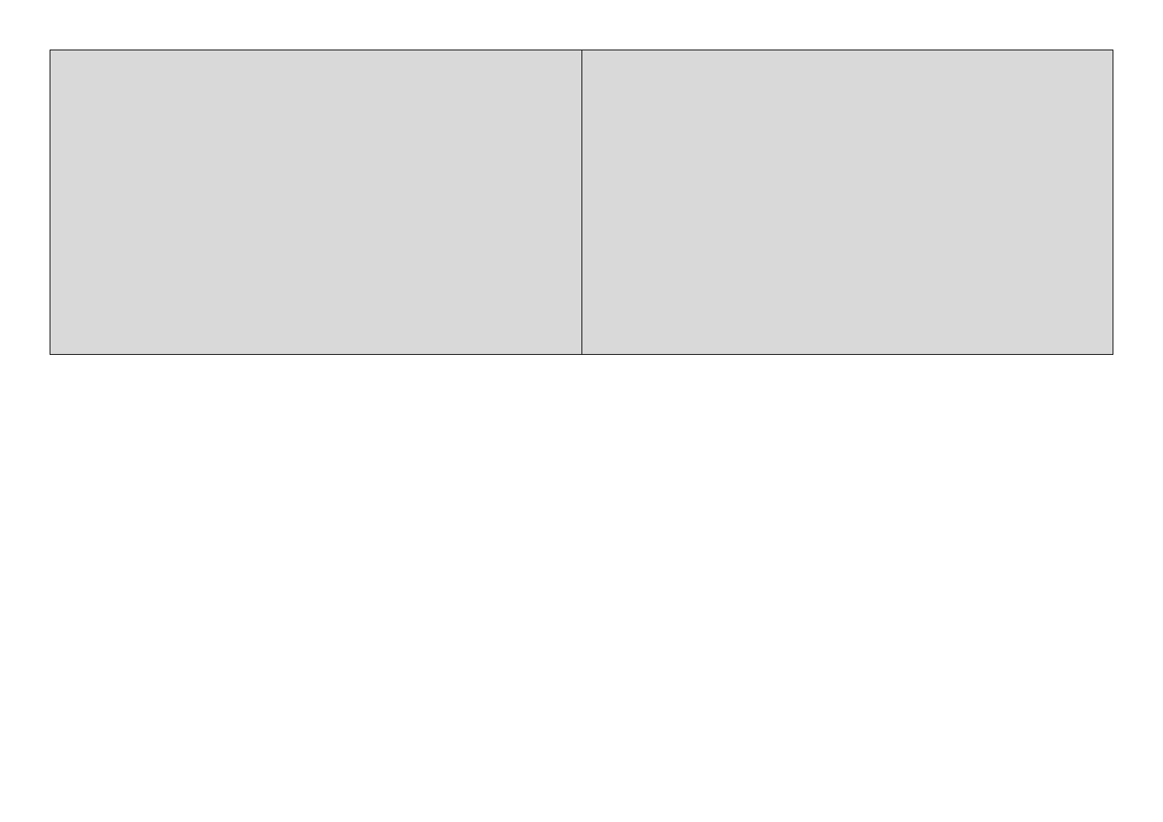<span id="page-1-0"></span>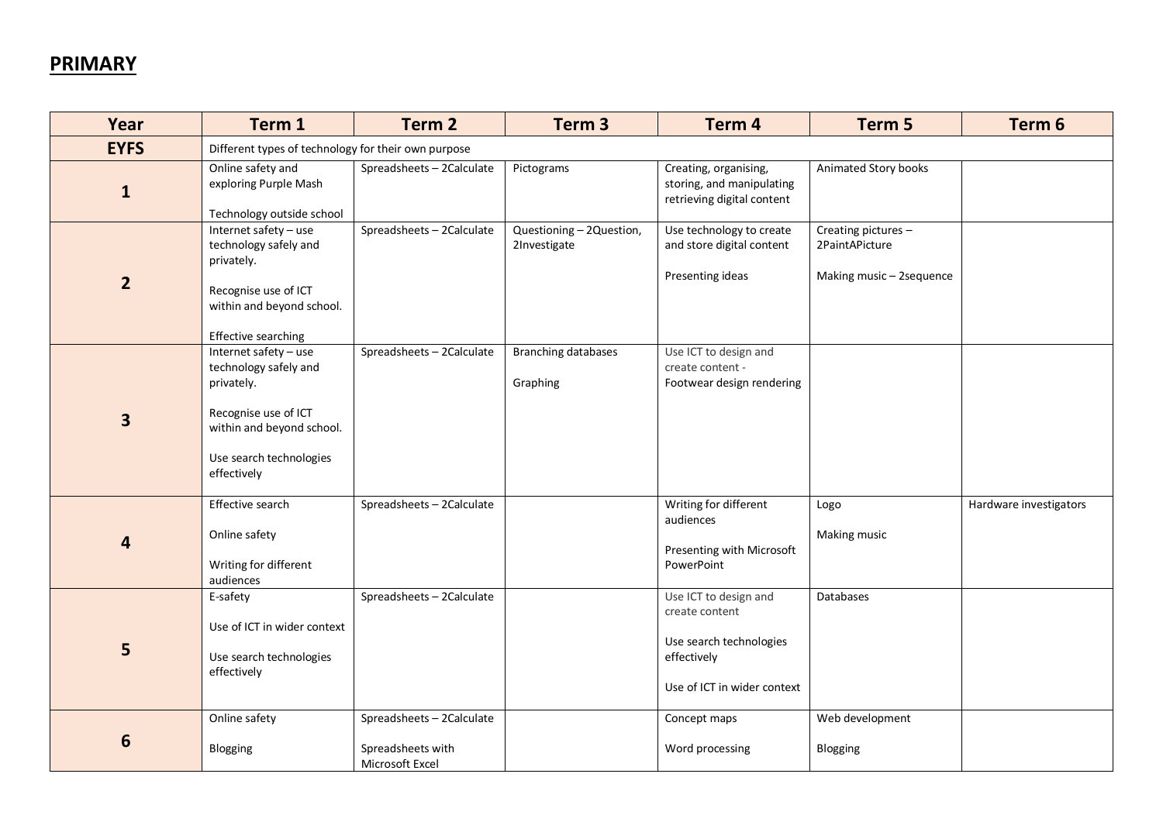### **PRIMARY**

| Year                    | Term 1                                                                                                                                                      | Term 2                                                            | Term <sub>3</sub>                        | Term 4                                                                                                           | Term 5                                                            | Term 6                 |
|-------------------------|-------------------------------------------------------------------------------------------------------------------------------------------------------------|-------------------------------------------------------------------|------------------------------------------|------------------------------------------------------------------------------------------------------------------|-------------------------------------------------------------------|------------------------|
| <b>EYFS</b>             | Different types of technology for their own purpose                                                                                                         |                                                                   |                                          |                                                                                                                  |                                                                   |                        |
| $\mathbf{1}$            | Online safety and<br>exploring Purple Mash<br>Technology outside school                                                                                     | Spreadsheets - 2Calculate                                         | Pictograms                               | Creating, organising,<br>storing, and manipulating<br>retrieving digital content                                 | Animated Story books                                              |                        |
| $\overline{2}$          | Internet safety - use<br>technology safely and<br>privately.<br>Recognise use of ICT<br>within and beyond school.<br>Effective searching                    | Spreadsheets - 2Calculate                                         | Questioning - 2Question,<br>2Investigate | Use technology to create<br>and store digital content<br>Presenting ideas                                        | Creating pictures -<br>2PaintAPicture<br>Making music - 2sequence |                        |
| $\overline{\mathbf{3}}$ | Internet safety - use<br>technology safely and<br>privately.<br>Recognise use of ICT<br>within and beyond school.<br>Use search technologies<br>effectively | Spreadsheets - 2Calculate                                         | <b>Branching databases</b><br>Graphing   | Use ICT to design and<br>create content -<br>Footwear design rendering                                           |                                                                   |                        |
| $\overline{4}$          | Effective search<br>Online safety<br>Writing for different<br>audiences                                                                                     | Spreadsheets - 2Calculate                                         |                                          | Writing for different<br>audiences<br>Presenting with Microsoft<br>PowerPoint                                    | Logo<br>Making music                                              | Hardware investigators |
| 5                       | E-safety<br>Use of ICT in wider context<br>Use search technologies<br>effectively                                                                           | Spreadsheets - 2Calculate                                         |                                          | Use ICT to design and<br>create content<br>Use search technologies<br>effectively<br>Use of ICT in wider context | Databases                                                         |                        |
| 6                       | Online safety<br>Blogging                                                                                                                                   | Spreadsheets - 2Calculate<br>Spreadsheets with<br>Microsoft Excel |                                          | Concept maps<br>Word processing                                                                                  | Web development<br>Blogging                                       |                        |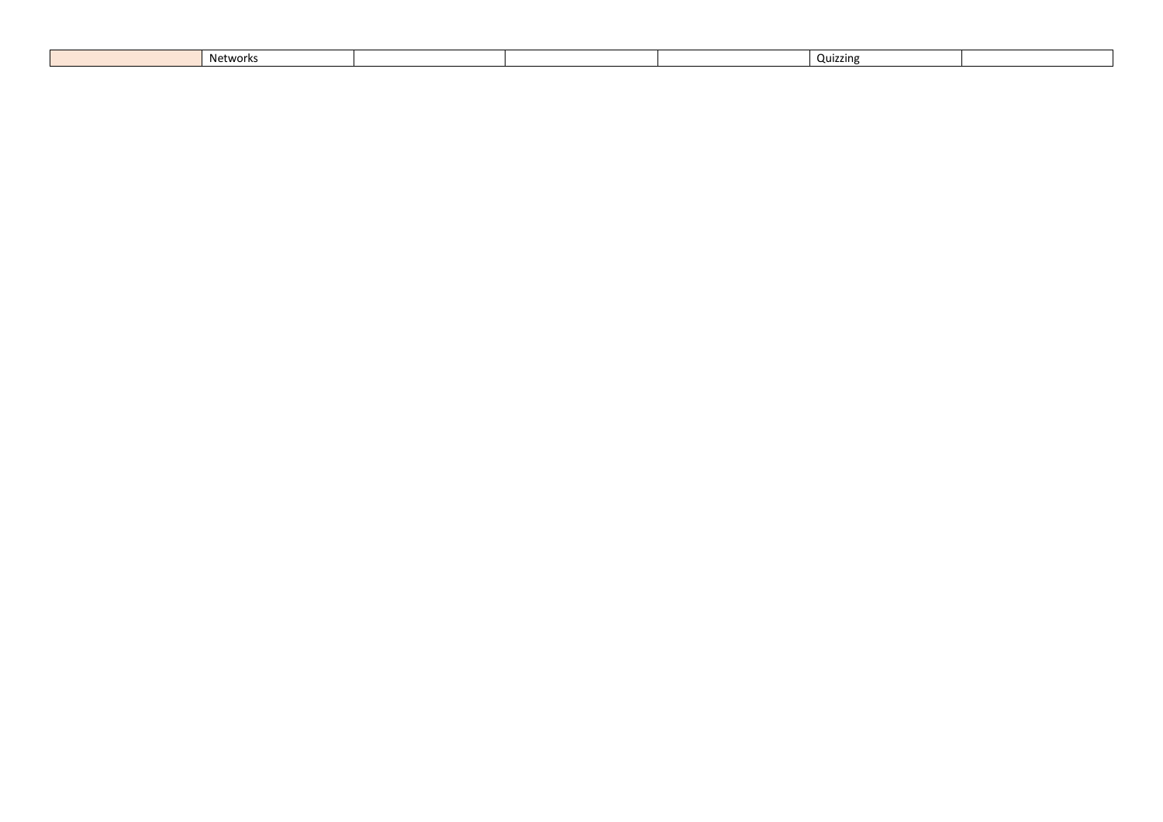<span id="page-3-0"></span>

| Networks<br>Quizzing |
|----------------------|
|----------------------|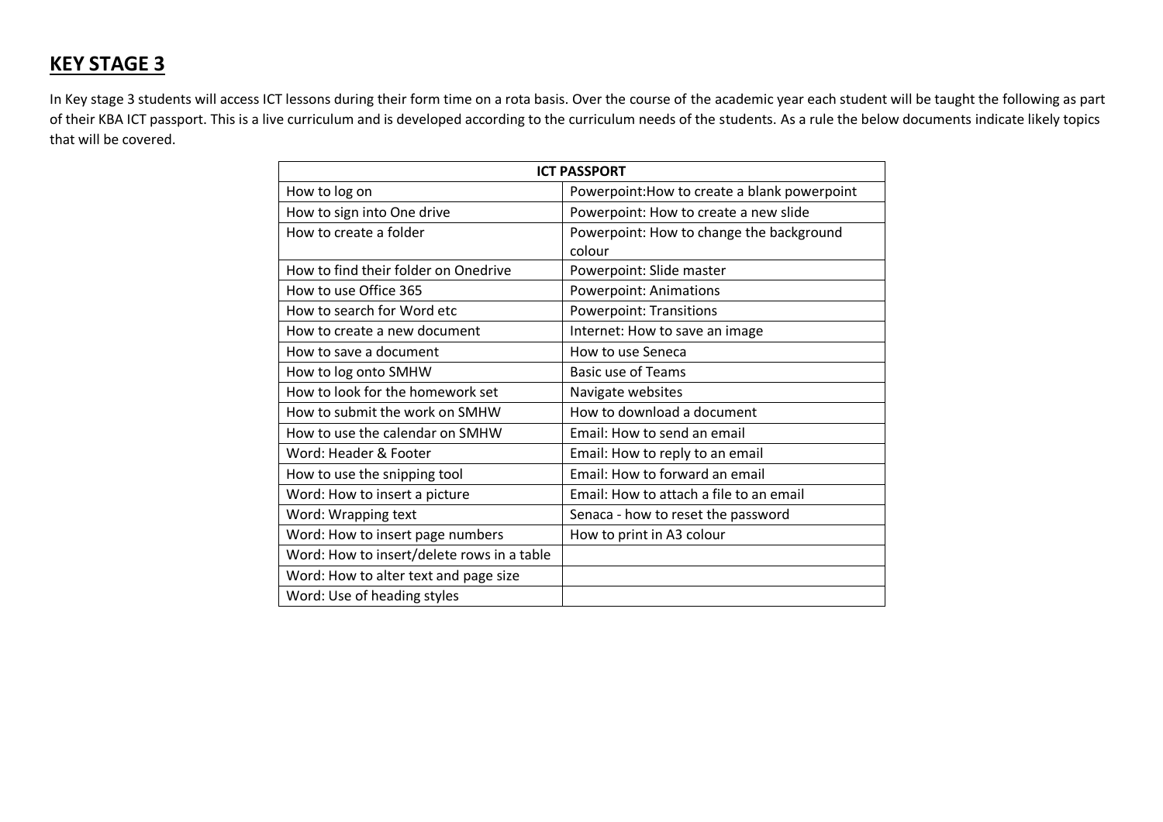### **KEY STAGE 3**

In Key stage 3 students will access ICT lessons during their form time on a rota basis. Over the course of the academic year each student will be taught the following as part of their KBA ICT passport. This is a live curriculum and is developed according to the curriculum needs of the students. As a rule the below documents indicate likely topics that will be covered.

| <b>ICT PASSPORT</b>                        |                                                    |  |  |
|--------------------------------------------|----------------------------------------------------|--|--|
| How to log on                              | Powerpoint: How to create a blank powerpoint       |  |  |
| How to sign into One drive                 | Powerpoint: How to create a new slide              |  |  |
| How to create a folder                     | Powerpoint: How to change the background<br>colour |  |  |
| How to find their folder on Onedrive       | Powerpoint: Slide master                           |  |  |
| How to use Office 365                      | <b>Powerpoint: Animations</b>                      |  |  |
| How to search for Word etc                 | <b>Powerpoint: Transitions</b>                     |  |  |
| How to create a new document               | Internet: How to save an image                     |  |  |
| How to save a document                     | How to use Seneca                                  |  |  |
| How to log onto SMHW                       | <b>Basic use of Teams</b>                          |  |  |
| How to look for the homework set           | Navigate websites                                  |  |  |
| How to submit the work on SMHW             | How to download a document                         |  |  |
| How to use the calendar on SMHW            | Email: How to send an email                        |  |  |
| Word: Header & Footer                      | Email: How to reply to an email                    |  |  |
| How to use the snipping tool               | Email: How to forward an email                     |  |  |
| Word: How to insert a picture              | Email: How to attach a file to an email            |  |  |
| Word: Wrapping text                        | Senaca - how to reset the password                 |  |  |
| Word: How to insert page numbers           | How to print in A3 colour                          |  |  |
| Word: How to insert/delete rows in a table |                                                    |  |  |
| Word: How to alter text and page size      |                                                    |  |  |
| Word: Use of heading styles                |                                                    |  |  |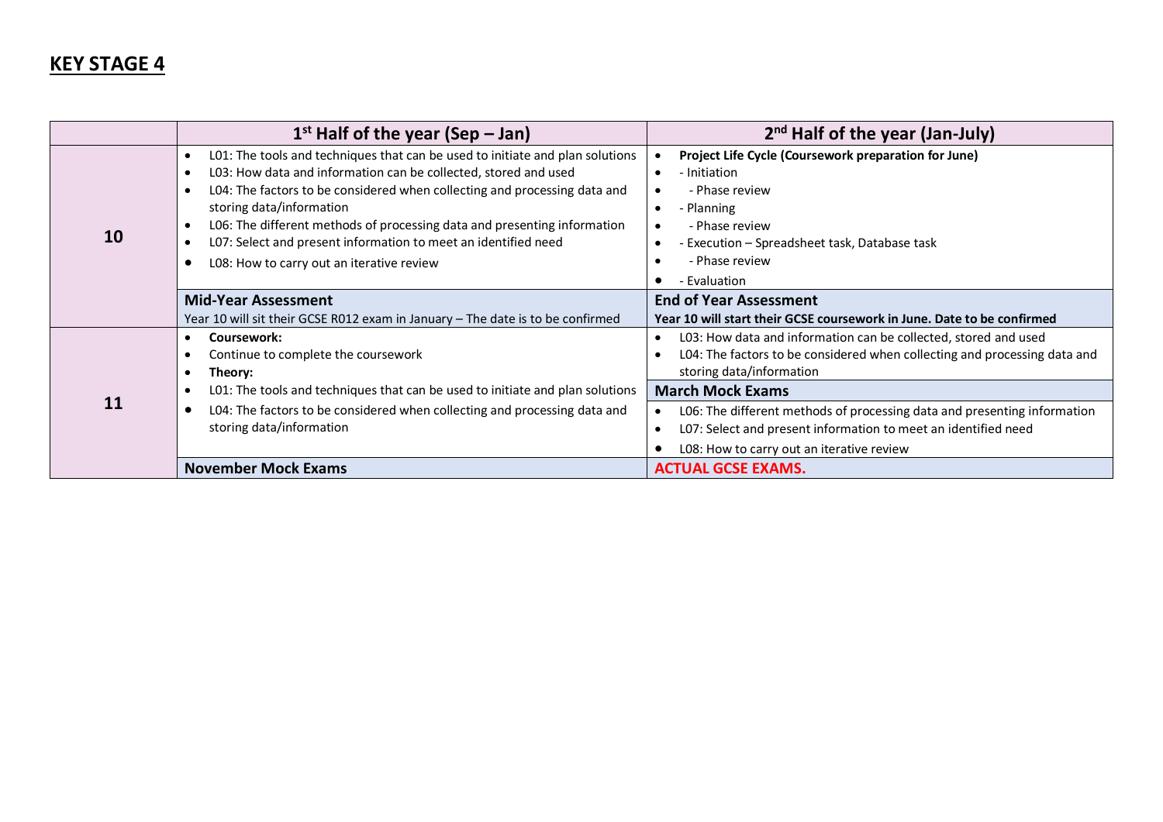# <span id="page-5-0"></span>**KEY STAGE 4**

<span id="page-5-1"></span>

|    | $1st$ Half of the year (Sep – Jan)                                                                                                                                                                                                                                                                                                                                                                                                                                                               | $2nd$ Half of the year (Jan-July)                                                                                                                                                                         |  |
|----|--------------------------------------------------------------------------------------------------------------------------------------------------------------------------------------------------------------------------------------------------------------------------------------------------------------------------------------------------------------------------------------------------------------------------------------------------------------------------------------------------|-----------------------------------------------------------------------------------------------------------------------------------------------------------------------------------------------------------|--|
| 10 | L01: The tools and techniques that can be used to initiate and plan solutions<br>$\bullet$<br>L03: How data and information can be collected, stored and used<br>$\bullet$<br>L04: The factors to be considered when collecting and processing data and<br>O<br>storing data/information<br>L06: The different methods of processing data and presenting information<br>L07: Select and present information to meet an identified need<br>$\bullet$<br>L08: How to carry out an iterative review | Project Life Cycle (Coursework preparation for June)<br>- Initiation<br>- Phase review<br>- Planning<br>- Phase review<br>- Execution – Spreadsheet task, Database task<br>- Phase review<br>- Evaluation |  |
|    | <b>Mid-Year Assessment</b><br>Year 10 will sit their GCSE R012 exam in January – The date is to be confirmed                                                                                                                                                                                                                                                                                                                                                                                     | <b>End of Year Assessment</b><br>Year 10 will start their GCSE coursework in June. Date to be confirmed                                                                                                   |  |
|    | Coursework:<br>Continue to complete the coursework<br>Theory:<br>$\bullet$                                                                                                                                                                                                                                                                                                                                                                                                                       | L03: How data and information can be collected, stored and used<br>L04: The factors to be considered when collecting and processing data and<br>storing data/information                                  |  |
| 11 | L01: The tools and techniques that can be used to initiate and plan solutions<br>$\bullet$                                                                                                                                                                                                                                                                                                                                                                                                       | <b>March Mock Exams</b>                                                                                                                                                                                   |  |
|    | L04: The factors to be considered when collecting and processing data and<br>storing data/information                                                                                                                                                                                                                                                                                                                                                                                            | L06: The different methods of processing data and presenting information<br>L07: Select and present information to meet an identified need<br>L08: How to carry out an iterative review                   |  |
|    | <b>November Mock Exams</b>                                                                                                                                                                                                                                                                                                                                                                                                                                                                       | <b>ACTUAL GCSE EXAMS.</b>                                                                                                                                                                                 |  |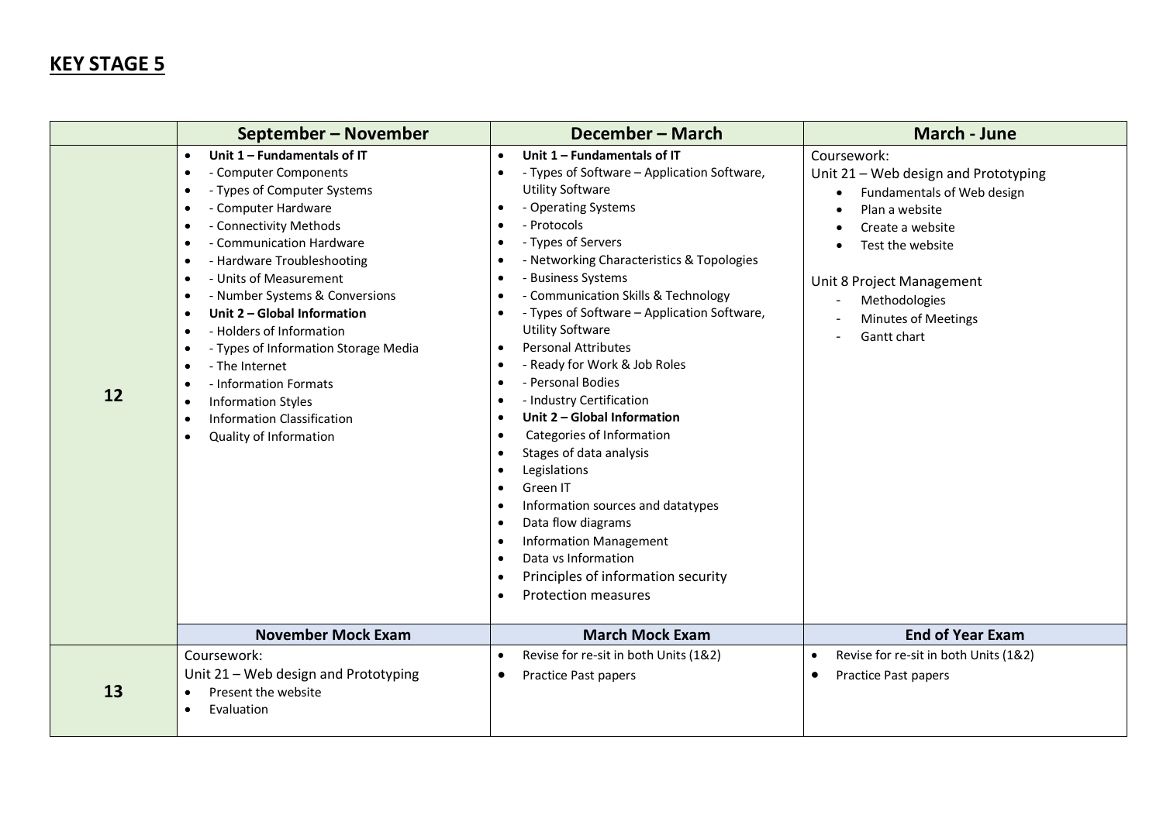# **KEY STAGE 5**

|    | September - November                                                                                                                                                                                                                                                                                                                                                                                                                                                                                                                                                                                                                                                                                                                | December - March                                                                                                                                                                                                                                                                                                                                                                                                                                                                                                                                                                                                                                                                                                                                                                                                                                                                                            | <b>March - June</b>                                                                                                                                                                                                                                                                                                                      |
|----|-------------------------------------------------------------------------------------------------------------------------------------------------------------------------------------------------------------------------------------------------------------------------------------------------------------------------------------------------------------------------------------------------------------------------------------------------------------------------------------------------------------------------------------------------------------------------------------------------------------------------------------------------------------------------------------------------------------------------------------|-------------------------------------------------------------------------------------------------------------------------------------------------------------------------------------------------------------------------------------------------------------------------------------------------------------------------------------------------------------------------------------------------------------------------------------------------------------------------------------------------------------------------------------------------------------------------------------------------------------------------------------------------------------------------------------------------------------------------------------------------------------------------------------------------------------------------------------------------------------------------------------------------------------|------------------------------------------------------------------------------------------------------------------------------------------------------------------------------------------------------------------------------------------------------------------------------------------------------------------------------------------|
| 12 | Unit $1$ – Fundamentals of IT<br>$\bullet$<br>- Computer Components<br>$\bullet$<br>- Types of Computer Systems<br>$\bullet$<br>- Computer Hardware<br>$\bullet$<br>- Connectivity Methods<br>$\bullet$<br>- Communication Hardware<br>$\bullet$<br>- Hardware Troubleshooting<br>$\bullet$<br>- Units of Measurement<br>$\bullet$<br>- Number Systems & Conversions<br>$\bullet$<br>Unit 2 - Global Information<br>$\bullet$<br>- Holders of Information<br>$\bullet$<br>- Types of Information Storage Media<br>$\bullet$<br>- The Internet<br>$\bullet$<br>- Information Formats<br>$\bullet$<br><b>Information Styles</b><br>$\bullet$<br><b>Information Classification</b><br>$\bullet$<br>Quality of Information<br>$\bullet$ | Unit $1$ – Fundamentals of IT<br>$\bullet$<br>- Types of Software - Application Software,<br>$\bullet$<br>Utility Software<br>- Operating Systems<br>- Protocols<br>$\bullet$<br>- Types of Servers<br>- Networking Characteristics & Topologies<br>- Business Systems<br>- Communication Skills & Technology<br>$\bullet$<br>- Types of Software - Application Software,<br><b>Utility Software</b><br><b>Personal Attributes</b><br>$\bullet$<br>- Ready for Work & Job Roles<br>- Personal Bodies<br>$\bullet$<br>- Industry Certification<br>Unit 2 - Global Information<br>$\bullet$<br>Categories of Information<br>$\bullet$<br>Stages of data analysis<br>$\bullet$<br>Legislations<br>Green IT<br>$\bullet$<br>Information sources and datatypes<br>Data flow diagrams<br><b>Information Management</b><br>Data vs Information<br>Principles of information security<br><b>Protection measures</b> | Coursework:<br>Unit 21 - Web design and Prototyping<br>Fundamentals of Web design<br>$\bullet$<br>Plan a website<br>$\bullet$<br>Create a website<br>Test the website<br>٠<br>Unit 8 Project Management<br>Methodologies<br>$\qquad \qquad -$<br><b>Minutes of Meetings</b><br>$\overline{\phantom{0}}$<br>Gantt chart<br>$\blacksquare$ |
|    | <b>November Mock Exam</b>                                                                                                                                                                                                                                                                                                                                                                                                                                                                                                                                                                                                                                                                                                           | <b>March Mock Exam</b>                                                                                                                                                                                                                                                                                                                                                                                                                                                                                                                                                                                                                                                                                                                                                                                                                                                                                      | <b>End of Year Exam</b>                                                                                                                                                                                                                                                                                                                  |
| 13 | Coursework:<br>Unit 21 - Web design and Prototyping<br>Present the website<br>$\bullet$<br>Evaluation<br>$\bullet$                                                                                                                                                                                                                                                                                                                                                                                                                                                                                                                                                                                                                  | Revise for re-sit in both Units (1&2)<br>$\bullet$<br>Practice Past papers<br>$\bullet$                                                                                                                                                                                                                                                                                                                                                                                                                                                                                                                                                                                                                                                                                                                                                                                                                     | Revise for re-sit in both Units (1&2)<br>$\bullet$<br>Practice Past papers<br>٠                                                                                                                                                                                                                                                          |